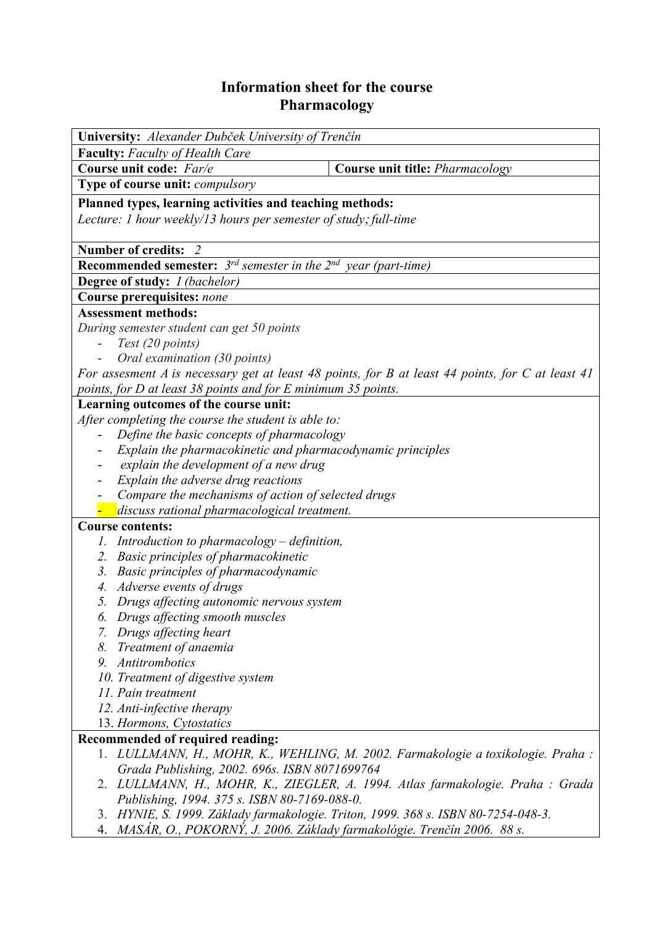## **Information sheet for the course Pharmacology**

| University: Alexander Dubček University of Trenčín                                               |                                                                                   |  |  |  |  |
|--------------------------------------------------------------------------------------------------|-----------------------------------------------------------------------------------|--|--|--|--|
| <b>Faculty:</b> Faculty of Health Care                                                           |                                                                                   |  |  |  |  |
| Course unit code: Far/e                                                                          | Course unit title: Pharmacology                                                   |  |  |  |  |
| Type of course unit: <i>compulsory</i>                                                           |                                                                                   |  |  |  |  |
| Planned types, learning activities and teaching methods:                                         |                                                                                   |  |  |  |  |
| Lecture: 1 hour weekly/13 hours per semester of study; full-time                                 |                                                                                   |  |  |  |  |
|                                                                                                  |                                                                                   |  |  |  |  |
| <b>Number of credits:</b>                                                                        |                                                                                   |  |  |  |  |
| <b>Recommended semester:</b> $3^{rd}$ semester in the $2^{nd}$ year (part-time)                  |                                                                                   |  |  |  |  |
| <b>Degree of study:</b> <i>I (bachelor)</i>                                                      |                                                                                   |  |  |  |  |
| Course prerequisites: none                                                                       |                                                                                   |  |  |  |  |
| <b>Assessment methods:</b>                                                                       |                                                                                   |  |  |  |  |
| During semester student can get 50 points                                                        |                                                                                   |  |  |  |  |
| Test (20 points)                                                                                 |                                                                                   |  |  |  |  |
| Oral examination (30 points)                                                                     |                                                                                   |  |  |  |  |
| For assesment A is necessary get at least 48 points, for B at least 44 points, for C at least 41 |                                                                                   |  |  |  |  |
| points, for D at least 38 points and for E minimum 35 points.                                    |                                                                                   |  |  |  |  |
| Learning outcomes of the course unit:                                                            |                                                                                   |  |  |  |  |
| After completing the course the student is able to:                                              |                                                                                   |  |  |  |  |
| Define the basic concepts of pharmacology                                                        |                                                                                   |  |  |  |  |
| Explain the pharmacokinetic and pharmacodynamic principles                                       |                                                                                   |  |  |  |  |
| explain the development of a new drug                                                            |                                                                                   |  |  |  |  |
| Explain the adverse drug reactions                                                               |                                                                                   |  |  |  |  |
| Compare the mechanisms of action of selected drugs                                               |                                                                                   |  |  |  |  |
| discuss rational pharmacological treatment.<br><b>Course contents:</b>                           |                                                                                   |  |  |  |  |
| 1. Introduction to pharmacology $-$ definition,                                                  |                                                                                   |  |  |  |  |
| 2. Basic principles of pharmacokinetic                                                           |                                                                                   |  |  |  |  |
| 3. Basic principles of pharmacodynamic                                                           |                                                                                   |  |  |  |  |
| 4. Adverse events of drugs                                                                       |                                                                                   |  |  |  |  |
| 5. Drugs affecting autonomic nervous system                                                      |                                                                                   |  |  |  |  |
| 6. Drugs affecting smooth muscles                                                                |                                                                                   |  |  |  |  |
| 7. Drugs affecting heart                                                                         |                                                                                   |  |  |  |  |
| 8. Treatment of anaemia                                                                          |                                                                                   |  |  |  |  |
| 9. Antitrombotics                                                                                |                                                                                   |  |  |  |  |
| 10. Treatment of digestive system                                                                |                                                                                   |  |  |  |  |
| 11. Pain treatment                                                                               |                                                                                   |  |  |  |  |
| 12. Anti-infective therapy                                                                       |                                                                                   |  |  |  |  |
| 13. Hormons, Cytostatics                                                                         |                                                                                   |  |  |  |  |
| Recommended of required reading:                                                                 |                                                                                   |  |  |  |  |
|                                                                                                  | 1. LULLMANN, H., MOHR, K., WEHLING, M. 2002. Farmakologie a toxikologie. Praha :  |  |  |  |  |
| Grada Publishing, 2002. 696s. ISBN 8071699764                                                    | 2. LULLMANN, H., MOHR, K., ZIEGLER, A. 1994. Atlas farmakologie. Praha : Grada    |  |  |  |  |
| Publishing, 1994. 375 s. ISBN 80-7169-088-0.                                                     |                                                                                   |  |  |  |  |
|                                                                                                  | 3. HYNIE, S. 1999. Základy farmakologie. Triton, 1999. 368 s. ISBN 80-7254-048-3. |  |  |  |  |
| 4. MASÁR, O., POKORNÝ, J. 2006. Základy farmakológie. Trenčín 2006. 88 s.                        |                                                                                   |  |  |  |  |